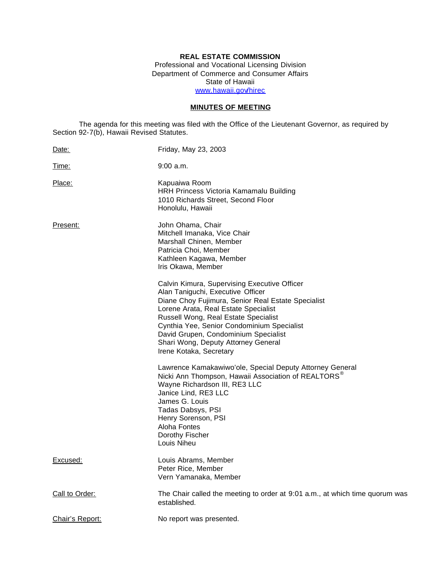# **REAL ESTATE COMMISSION**

Professional and Vocational Licensing Division Department of Commerce and Consumer Affairs State of Hawaii www.hawaii.gov/hirec

## **MINUTES OF MEETING**

The agenda for this meeting was filed with the Office of the Lieutenant Governor, as required by Section 92-7(b), Hawaii Revised Statutes.

| Date:           | Friday, May 23, 2003                                                                                                                                                                                                                                                                                                                                                            |
|-----------------|---------------------------------------------------------------------------------------------------------------------------------------------------------------------------------------------------------------------------------------------------------------------------------------------------------------------------------------------------------------------------------|
| <u>Time:</u>    | $9:00$ a.m.                                                                                                                                                                                                                                                                                                                                                                     |
| Place:          | Kapuaiwa Room<br>HRH Princess Victoria Kamamalu Building<br>1010 Richards Street, Second Floor<br>Honolulu, Hawaii                                                                                                                                                                                                                                                              |
| Present:        | John Ohama, Chair<br>Mitchell Imanaka, Vice Chair<br>Marshall Chinen, Member<br>Patricia Choi, Member<br>Kathleen Kagawa, Member<br>Iris Okawa, Member                                                                                                                                                                                                                          |
|                 | Calvin Kimura, Supervising Executive Officer<br>Alan Taniguchi, Executive Officer<br>Diane Choy Fujimura, Senior Real Estate Specialist<br>Lorene Arata, Real Estate Specialist<br>Russell Wong, Real Estate Specialist<br>Cynthia Yee, Senior Condominium Specialist<br>David Grupen, Condominium Specialist<br>Shari Wong, Deputy Attorney General<br>Irene Kotaka, Secretary |
|                 | Lawrence Kamakawiwo'ole, Special Deputy Attorney General<br>Nicki Ann Thompson, Hawaii Association of REALTORS <sup>®</sup><br>Wayne Richardson III, RE3 LLC<br>Janice Lind, RE3 LLC<br>James G. Louis<br>Tadas Dabsys, PSI<br>Henry Sorenson, PSI<br>Aloha Fontes<br>Dorothy Fischer<br>Louis Niheu                                                                            |
| Excused:        | Louis Abrams, Member<br>Peter Rice, Member<br>Vern Yamanaka, Member                                                                                                                                                                                                                                                                                                             |
| Call to Order:  | The Chair called the meeting to order at 9:01 a.m., at which time quorum was<br>established.                                                                                                                                                                                                                                                                                    |
| Chair's Report: | No report was presented.                                                                                                                                                                                                                                                                                                                                                        |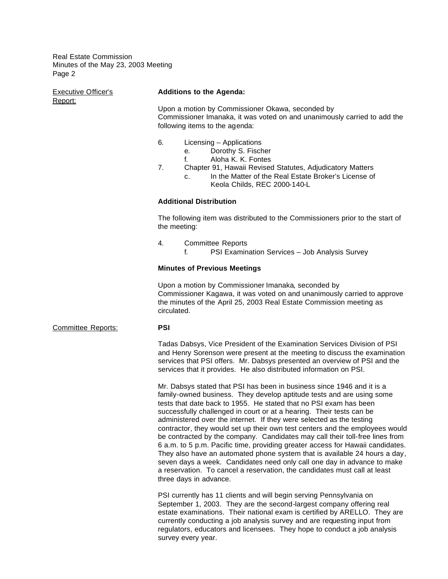Executive Officer's **Additions to the Agenda:** Report: Upon a motion by Commissioner Okawa, seconded by Commissioner Imanaka, it was voted on and unanimously carried to add the following items to the agenda: 6. Licensing – Applications e. Dorothy S. Fischer f. Aloha K. K. Fontes 7. Chapter 91, Hawaii Revised Statutes, Adjudicatory Matters c. In the Matter of the Real Estate Broker's License of Keola Childs, REC 2000-140-L **Additional Distribution** The following item was distributed to the Commissioners prior to the start of the meeting: 4. Committee Reports f. PSI Examination Services – Job Analysis Survey **Minutes of Previous Meetings** Upon a motion by Commissioner Imanaka, seconded by Commissioner Kagawa, it was voted on and unanimously carried to approve the minutes of the April 25, 2003 Real Estate Commission meeting as circulated. Committee Reports: **PSI**  Tadas Dabsys, Vice President of the Examination Services Division of PSI and Henry Sorenson were present at the meeting to discuss the examination services that PSI offers. Mr. Dabsys presented an overview of PSI and the services that it provides. He also distributed information on PSI. Mr. Dabsys stated that PSI has been in business since 1946 and it is a family-owned business. They develop aptitude tests and are using some tests that date back to 1955. He stated that no PSI exam has been successfully challenged in court or at a hearing. Their tests can be administered over the internet. If they were selected as the testing contractor, they would set up their own test centers and the employees would be contracted by the company. Candidates may call their toll-free lines from 6 a.m. to 5 p.m. Pacific time, providing greater access for Hawaii candidates. They also have an automated phone system that is available 24 hours a day, seven days a week. Candidates need only call one day in advance to make a reservation. To cancel a reservation, the candidates must call at least three days in advance.

> PSI currently has 11 clients and will begin serving Pennsylvania on September 1, 2003. They are the second-largest company offering real estate examinations. Their national exam is certified by ARELLO. They are currently conducting a job analysis survey and are requesting input from regulators, educators and licensees. They hope to conduct a job analysis survey every year.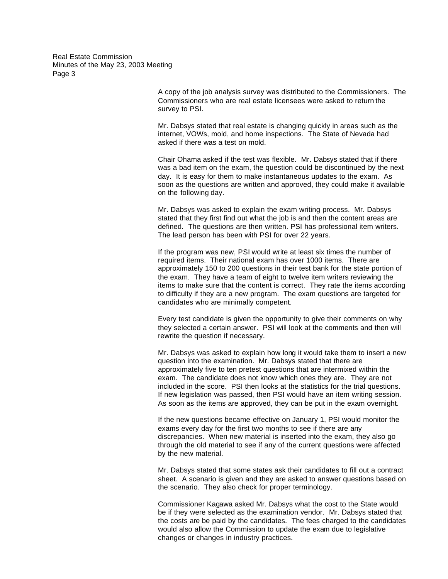> A copy of the job analysis survey was distributed to the Commissioners. The Commissioners who are real estate licensees were asked to return the survey to PSI.

Mr. Dabsys stated that real estate is changing quickly in areas such as the internet, VOWs, mold, and home inspections. The State of Nevada had asked if there was a test on mold.

Chair Ohama asked if the test was flexible. Mr. Dabsys stated that if there was a bad item on the exam, the question could be discontinued by the next day. It is easy for them to make instantaneous updates to the exam. As soon as the questions are written and approved, they could make it available on the following day.

Mr. Dabsys was asked to explain the exam writing process. Mr. Dabsys stated that they first find out what the job is and then the content areas are defined. The questions are then written. PSI has professional item writers. The lead person has been with PSI for over 22 years.

If the program was new, PSI would write at least six times the number of required items. Their national exam has over 1000 items. There are approximately 150 to 200 questions in their test bank for the state portion of the exam. They have a team of eight to twelve item writers reviewing the items to make sure that the content is correct. They rate the items according to difficulty if they are a new program. The exam questions are targeted for candidates who are minimally competent.

Every test candidate is given the opportunity to give their comments on why they selected a certain answer. PSI will look at the comments and then will rewrite the question if necessary.

Mr. Dabsys was asked to explain how long it would take them to insert a new question into the examination. Mr. Dabsys stated that there are approximately five to ten pretest questions that are intermixed within the exam. The candidate does not know which ones they are. They are not included in the score. PSI then looks at the statistics for the trial questions. If new legislation was passed, then PSI would have an item writing session. As soon as the items are approved, they can be put in the exam overnight.

If the new questions became effective on January 1, PSI would monitor the exams every day for the first two months to see if there are any discrepancies. When new material is inserted into the exam, they also go through the old material to see if any of the current questions were affected by the new material.

Mr. Dabsys stated that some states ask their candidates to fill out a contract sheet. A scenario is given and they are asked to answer questions based on the scenario. They also check for proper terminology.

Commissioner Kagawa asked Mr. Dabsys what the cost to the State would be if they were selected as the examination vendor. Mr. Dabsys stated that the costs are be paid by the candidates. The fees charged to the candidates would also allow the Commission to update the exam due to legislative changes or changes in industry practices.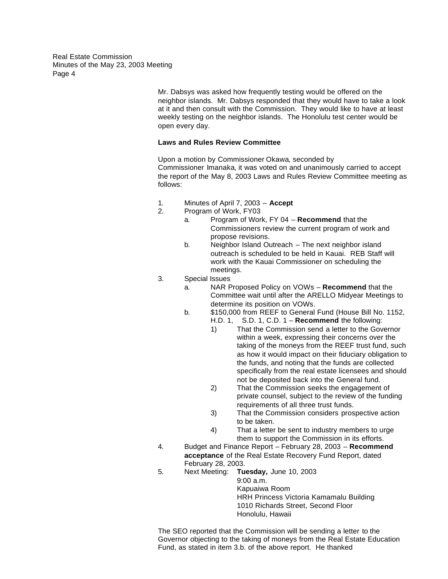> Mr. Dabsys was asked how frequently testing would be offered on the neighbor islands. Mr. Dabsys responded that they would have to take a look at it and then consult with the Commission. They would like to have at least weekly testing on the neighbor islands. The Honolulu test center would be open every day.

## **Laws and Rules Review Committee**

Upon a motion by Commissioner Okawa, seconded by Commissioner Imanaka, it was voted on and unanimously carried to accept the report of the May 8, 2003 Laws and Rules Review Committee meeting as follows:

- 1. Minutes of April 7, 2003 **Accept**
- 2. Program of Work, FY03
	- a. Program of Work, FY 04 **Recommend** that the Commissioners review the current program of work and propose revisions.
	- b. Neighbor Island Outreach The next neighbor island outreach is scheduled to be held in Kauai. REB Staff will work with the Kauai Commissioner on scheduling the meetings.
- 3. Special Issues
	- a. NAR Proposed Policy on VOWs **Recommend** that the Committee wait until after the ARELLO Midyear Meetings to determine its position on VOWs.
	- b. \$150,000 from REEF to General Fund (House Bill No. 1152,
		- H.D. 1, S.D. 1, C.D. 1 **Recommend** the following:
			- 1) That the Commission send a letter to the Governor within a week, expressing their concerns over the taking of the moneys from the REEF trust fund, such as how it would impact on their fiduciary obligation to the funds, and noting that the funds are collected specifically from the real estate licensees and should not be deposited back into the General fund.
			- 2) That the Commission seeks the engagement of private counsel, subject to the review of the funding requirements of all three trust funds.
			- 3) That the Commission considers prospective action to be taken.
			- 4) That a letter be sent to industry members to urge them to support the Commission in its efforts.
- 4. Budget and Finance Report February 28, 2003 **Recommend acceptance** of the Real Estate Recovery Fund Report, dated February 28, 2003.
- 5. Next Meeting: **Tuesday,** June 10, 2003

9:00 a.m.

Kapuaiwa Room HRH Princess Victoria Kamamalu Building 1010 Richards Street, Second Floor Honolulu, Hawaii

The SEO reported that the Commission will be sending a letter to the Governor objecting to the taking of moneys from the Real Estate Education Fund, as stated in item 3.b. of the above report. He thanked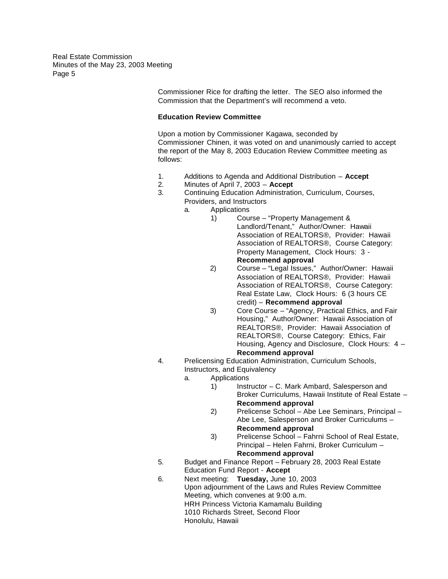> Commissioner Rice for drafting the letter. The SEO also informed the Commission that the Department's will recommend a veto.

## **Education Review Committee**

Upon a motion by Commissioner Kagawa, seconded by Commissioner Chinen, it was voted on and unanimously carried to accept the report of the May 8, 2003 Education Review Committee meeting as follows:

- 1. Additions to Agenda and Additional Distribution **Accept**
- 2. Minutes of April 7, 2003 **Accept**
- 3. Continuing Education Administration, Curriculum, Courses, Providers, and Instructors
	- a. Applications

1) Course – "Property Management & Landlord/Tenant," Author/Owner: Hawaii Association of REALTORS®, Provider: Hawaii Association of REALTORS®, Course Category: Property Management, Clock Hours: 3 - **Recommend approval**

- 2) Course "Legal Issues," Author/Owner: Hawaii Association of REALTORS®, Provider: Hawaii Association of REALTORS®, Course Category: Real Estate Law, Clock Hours: 6 (3 hours CE credit) – **Recommend approval**
- 3) Core Course "Agency, Practical Ethics, and Fair Housing," Author/Owner: Hawaii Association of REALTORS®, Provider: Hawaii Association of REALTORS®, Course Category: Ethics, Fair Housing, Agency and Disclosure, Clock Hours: 4 – **Recommend approval**
- 4. Prelicensing Education Administration, Curriculum Schools, Instructors, and Equivalency
	- a. Applications
		- 1) Instructor C. Mark Ambard, Salesperson and Broker Curriculums, Hawaii Institute of Real Estate – **Recommend approval**
		- 2) Prelicense School Abe Lee Seminars, Principal Abe Lee, Salesperson and Broker Curriculums – **Recommend approval**
		- 3) Prelicense School Fahrni School of Real Estate, Principal – Helen Fahrni, Broker Curriculum – **Recommend approval**
- 5. Budget and Finance Report February 28, 2003 Real Estate Education Fund Report - **Accept**
- 6. Next meeting: **Tuesday,** June 10, 2003 Upon adjournment of the Laws and Rules Review Committee Meeting, which convenes at 9:00 a.m. HRH Princess Victoria Kamamalu Building 1010 Richards Street, Second Floor Honolulu, Hawaii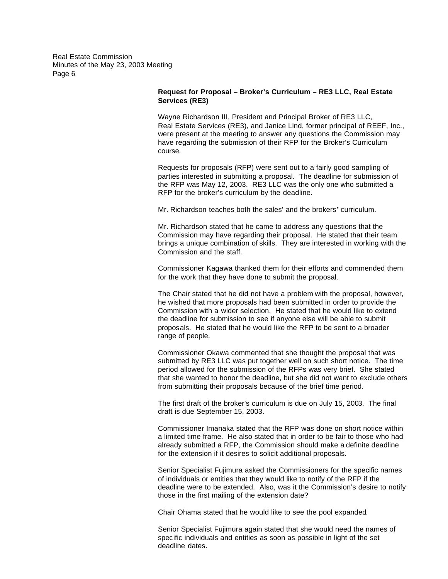## **Request for Proposal – Broker's Curriculum – RE3 LLC, Real Estate Services (RE3)**

Wayne Richardson III, President and Principal Broker of RE3 LLC, Real Estate Services (RE3), and Janice Lind, former principal of REEF, Inc., were present at the meeting to answer any questions the Commission may have regarding the submission of their RFP for the Broker's Curriculum course.

Requests for proposals (RFP) were sent out to a fairly good sampling of parties interested in submitting a proposal. The deadline for submission of the RFP was May 12, 2003. RE3 LLC was the only one who submitted a RFP for the broker's curriculum by the deadline.

Mr. Richardson teaches both the sales' and the brokers' curriculum.

Mr. Richardson stated that he came to address any questions that the Commission may have regarding their proposal. He stated that their team brings a unique combination of skills. They are interested in working with the Commission and the staff.

Commissioner Kagawa thanked them for their efforts and commended them for the work that they have done to submit the proposal.

The Chair stated that he did not have a problem with the proposal, however, he wished that more proposals had been submitted in order to provide the Commission with a wider selection. He stated that he would like to extend the deadline for submission to see if anyone else will be able to submit proposals. He stated that he would like the RFP to be sent to a broader range of people.

Commissioner Okawa commented that she thought the proposal that was submitted by RE3 LLC was put together well on such short notice. The time period allowed for the submission of the RFPs was very brief. She stated that she wanted to honor the deadline, but she did not want to exclude others from submitting their proposals because of the brief time period.

The first draft of the broker's curriculum is due on July 15, 2003. The final draft is due September 15, 2003.

Commissioner Imanaka stated that the RFP was done on short notice within a limited time frame. He also stated that in order to be fair to those who had already submitted a RFP, the Commission should make a definite deadline for the extension if it desires to solicit additional proposals.

Senior Specialist Fujimura asked the Commissioners for the specific names of individuals or entities that they would like to notify of the RFP if the deadline were to be extended. Also, was it the Commission's desire to notify those in the first mailing of the extension date?

Chair Ohama stated that he would like to see the pool expanded.

Senior Specialist Fujimura again stated that she would need the names of specific individuals and entities as soon as possible in light of the set deadline dates.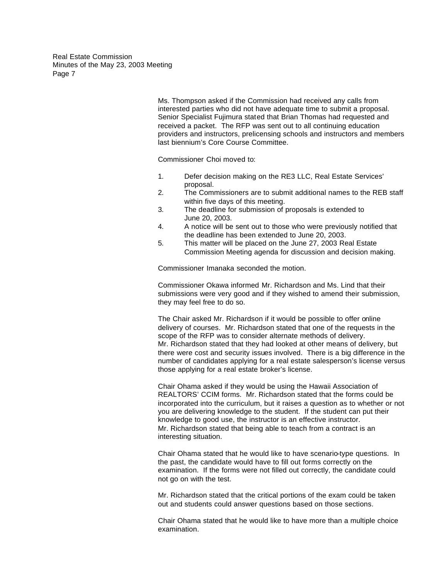> Ms. Thompson asked if the Commission had received any calls from interested parties who did not have adequate time to submit a proposal. Senior Specialist Fujimura stated that Brian Thomas had requested and received a packet. The RFP was sent out to all continuing education providers and instructors, prelicensing schools and instructors and members last biennium's Core Course Committee.

Commissioner Choi moved to:

- 1. Defer decision making on the RE3 LLC, Real Estate Services' proposal.
- 2. The Commissioners are to submit additional names to the REB staff within five days of this meeting.
- 3. The deadline for submission of proposals is extended to June 20, 2003.
- 4. A notice will be sent out to those who were previously notified that the deadline has been extended to June 20, 2003.
- 5. This matter will be placed on the June 27, 2003 Real Estate Commission Meeting agenda for discussion and decision making.

Commissioner Imanaka seconded the motion.

Commissioner Okawa informed Mr. Richardson and Ms. Lind that their submissions were very good and if they wished to amend their submission, they may feel free to do so.

The Chair asked Mr. Richardson if it would be possible to offer online delivery of courses. Mr. Richardson stated that one of the requests in the scope of the RFP was to consider alternate methods of delivery. Mr. Richardson stated that they had looked at other means of delivery, but there were cost and security issues involved. There is a big difference in the number of candidates applying for a real estate salesperson's license versus those applying for a real estate broker's license.

Chair Ohama asked if they would be using the Hawaii Association of REALTORS' CCIM forms. Mr. Richardson stated that the forms could be incorporated into the curriculum, but it raises a question as to whether or not you are delivering knowledge to the student. If the student can put their knowledge to good use, the instructor is an effective instructor. Mr. Richardson stated that being able to teach from a contract is an interesting situation.

Chair Ohama stated that he would like to have scenario-type questions. In the past, the candidate would have to fill out forms correctly on the examination. If the forms were not filled out correctly, the candidate could not go on with the test.

Mr. Richardson stated that the critical portions of the exam could be taken out and students could answer questions based on those sections.

Chair Ohama stated that he would like to have more than a multiple choice examination.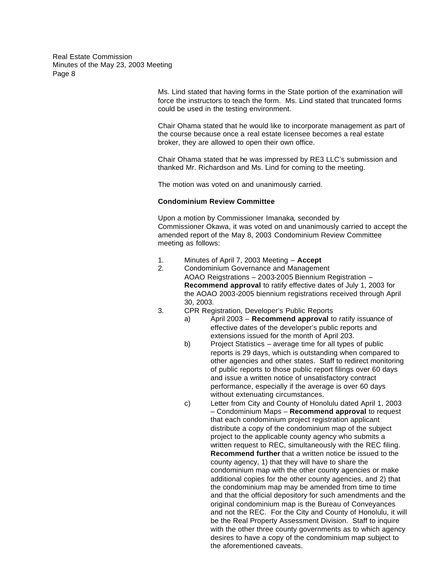> Ms. Lind stated that having forms in the State portion of the examination will force the instructors to teach the form. Ms. Lind stated that truncated forms could be used in the testing environment.

> Chair Ohama stated that he would like to incorporate management as part of the course because once a real estate licensee becomes a real estate broker, they are allowed to open their own office.

Chair Ohama stated that he was impressed by RE3 LLC's submission and thanked Mr. Richardson and Ms. Lind for coming to the meeting.

The motion was voted on and unanimously carried.

## **Condominium Review Committee**

Upon a motion by Commissioner Imanaka, seconded by Commissioner Okawa, it was voted on and unanimously carried to accept the amended report of the May 8, 2003 Condominium Review Committee meeting as follows:

- 1. Minutes of April 7, 2003 Meeting **Accept**
- 2. Condominium Governance and Management AOAO Reigstrations – 2003-2005 Biennium Registration – **Recommend approval** to ratify effective dates of July 1, 2003 for the AOAO 2003-2005 biennium registrations received through April 30, 2003.
- 3. CPR Registration, Developer's Public Reports
	- a) April 2003 **Recommend approval** to ratify issuance of effective dates of the developer's public reports and extensions issued for the month of April 203.
	- b) Project Statistics average time for all types of public reports is 29 days, which is outstanding when compared to other agencies and other states. Staff to redirect monitoring of public reports to those public report filings over 60 days and issue a written notice of unsatisfactory contract performance, especially if the average is over 60 days without extenuating circumstances.
	- c) Letter from City and County of Honolulu dated April 1, 2003 – Condominium Maps – **Recommend approval** to request that each condominium project registration applicant distribute a copy of the condominium map of the subject project to the applicable county agency who submits a written request to REC, simultaneously with the REC filing. **Recommend further** that a written notice be issued to the county agency, 1) that they will have to share the condominium map with the other county agencies or make additional copies for the other county agencies, and 2) that the condominium map may be amended from time to time and that the official depository for such amendments and the original condominium map is the Bureau of Conveyances and not the REC. For the City and County of Honolulu, it will be the Real Property Assessment Division. Staff to inquire with the other three county governments as to which agency desires to have a copy of the condominium map subject to the aforementioned caveats.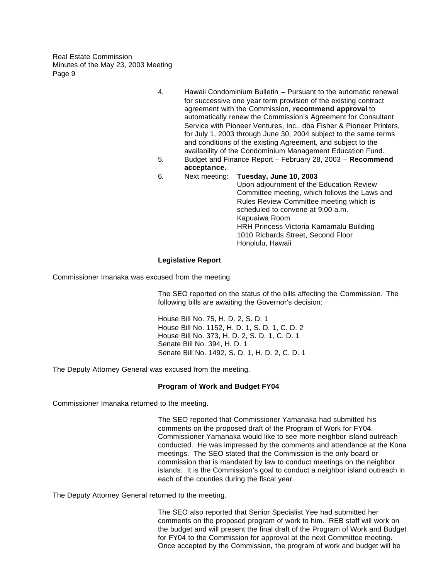- 4. Hawaii Condominium Bulletin Pursuant to the automatic renewal for successive one year term provision of the existing contract agreement with the Commission, **recommend approval** to automatically renew the Commission's Agreement for Consultant Service with Pioneer Ventures, Inc., dba Fisher & Pioneer Printers, for July 1, 2003 through June 30, 2004 subject to the same terms and conditions of the existing Agreement, and subject to the availability of the Condominium Management Education Fund.
- 5. Budget and Finance Report February 28, 2003 **Recommend acceptance.**
- 6. Next meeting: **Tuesday, June 10, 2003**

Upon adjournment of the Education Review Committee meeting, which follows the Laws and Rules Review Committee meeting which is scheduled to convene at 9:00 a.m. Kapuaiwa Room HRH Princess Victoria Kamamalu Building 1010 Richards Street, Second Floor Honolulu, Hawaii

## **Legislative Report**

Commissioner Imanaka was excused from the meeting.

The SEO reported on the status of the bills affecting the Commission. The following bills are awaiting the Governor's decision:

House Bill No. 75, H. D. 2, S. D. 1 House Bill No. 1152, H. D. 1, S. D. 1, C. D. 2 House Bill No. 373, H. D. 2, S. D. 1, C. D. 1 Senate Bill No. 394, H. D. 1 Senate Bill No. 1492, S. D. 1, H. D. 2, C. D. 1

The Deputy Attorney General was excused from the meeting.

## **Program of Work and Budget FY04**

Commissioner Imanaka returned to the meeting.

The SEO reported that Commissioner Yamanaka had submitted his comments on the proposed draft of the Program of Work for FY04. Commissioner Yamanaka would like to see more neighbor island outreach conducted. He was impressed by the comments and attendance at the Kona meetings. The SEO stated that the Commission is the only board or commission that is mandated by law to conduct meetings on the neighbor islands. It is the Commission's goal to conduct a neighbor island outreach in each of the counties during the fiscal year.

The Deputy Attorney General returned to the meeting.

The SEO also reported that Senior Specialist Yee had submitted her comments on the proposed program of work to him. REB staff will work on the budget and will present the final draft of the Program of Work and Budget for FY04 to the Commission for approval at the next Committee meeting. Once accepted by the Commission, the program of work and budget will be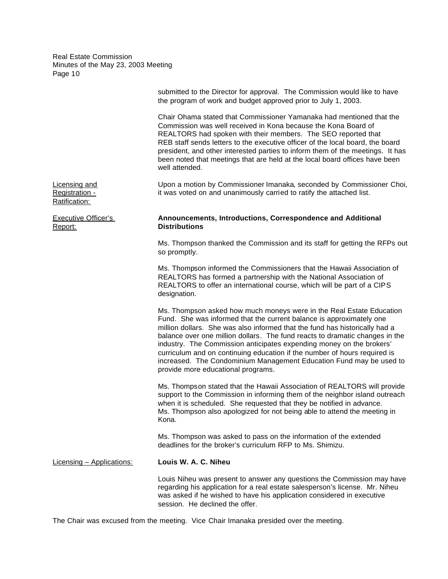|                                                  | submitted to the Director for approval. The Commission would like to have<br>the program of work and budget approved prior to July 1, 2003.                                                                                                                                                                                                                                                                                                                                                                                                                                   |
|--------------------------------------------------|-------------------------------------------------------------------------------------------------------------------------------------------------------------------------------------------------------------------------------------------------------------------------------------------------------------------------------------------------------------------------------------------------------------------------------------------------------------------------------------------------------------------------------------------------------------------------------|
|                                                  | Chair Ohama stated that Commissioner Yamanaka had mentioned that the<br>Commission was well received in Kona because the Kona Board of<br>REALTORS had spoken with their members. The SEO reported that<br>REB staff sends letters to the executive officer of the local board, the board<br>president, and other interested parties to inform them of the meetings. It has<br>been noted that meetings that are held at the local board offices have been<br>well attended.                                                                                                  |
| Licensing and<br>Registration -<br>Ratification: | Upon a motion by Commissioner Imanaka, seconded by Commissioner Choi,<br>it was voted on and unanimously carried to ratify the attached list.                                                                                                                                                                                                                                                                                                                                                                                                                                 |
| <b>Executive Officer's</b><br>Report:            | Announcements, Introductions, Correspondence and Additional<br><b>Distributions</b>                                                                                                                                                                                                                                                                                                                                                                                                                                                                                           |
|                                                  | Ms. Thompson thanked the Commission and its staff for getting the RFPs out<br>so promptly.                                                                                                                                                                                                                                                                                                                                                                                                                                                                                    |
|                                                  | Ms. Thompson informed the Commissioners that the Hawaii Association of<br>REALTORS has formed a partnership with the National Association of<br>REALTORS to offer an international course, which will be part of a CIPS<br>designation.                                                                                                                                                                                                                                                                                                                                       |
|                                                  | Ms. Thompson asked how much moneys were in the Real Estate Education<br>Fund. She was informed that the current balance is approximately one<br>million dollars. She was also informed that the fund has historically had a<br>balance over one million dollars. The fund reacts to dramatic changes in the<br>industry. The Commission anticipates expending money on the brokers'<br>curriculum and on continuing education if the number of hours required is<br>increased. The Condominium Management Education Fund may be used to<br>provide more educational programs. |
|                                                  | Ms. Thompson stated that the Hawaii Association of REALTORS will provide<br>support to the Commission in informing them of the neighbor island outreach<br>when it is scheduled. She requested that they be notified in advance.<br>Ms. Thompson also apologized for not being able to attend the meeting in<br>Kona.                                                                                                                                                                                                                                                         |
|                                                  | Ms. Thompson was asked to pass on the information of the extended<br>deadlines for the broker's curriculum RFP to Ms. Shimizu.                                                                                                                                                                                                                                                                                                                                                                                                                                                |
| <b>Licensing - Applications:</b>                 | Louis W. A. C. Niheu                                                                                                                                                                                                                                                                                                                                                                                                                                                                                                                                                          |
|                                                  | Louis Niheu was present to answer any questions the Commission may have<br>regarding his application for a real estate salesperson's license. Mr. Niheu<br>was asked if he wished to have his application considered in executive<br>session. He declined the offer.                                                                                                                                                                                                                                                                                                          |

The Chair was excused from the meeting. Vice Chair Imanaka presided over the meeting.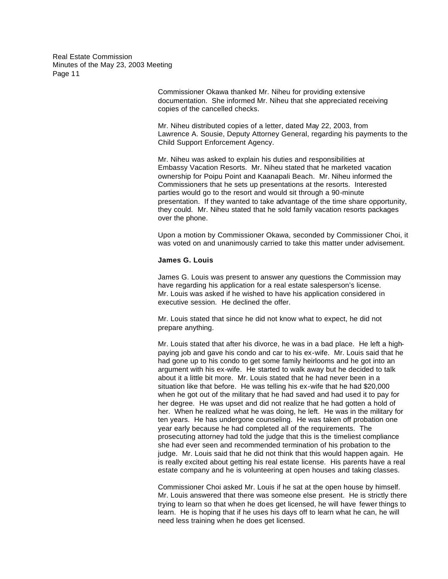> Commissioner Okawa thanked Mr. Niheu for providing extensive documentation. She informed Mr. Niheu that she appreciated receiving copies of the cancelled checks.

Mr. Niheu distributed copies of a letter, dated May 22, 2003, from Lawrence A. Sousie, Deputy Attorney General, regarding his payments to the Child Support Enforcement Agency.

Mr. Niheu was asked to explain his duties and responsibilities at Embassy Vacation Resorts. Mr. Niheu stated that he marketed vacation ownership for Poipu Point and Kaanapali Beach. Mr. Niheu informed the Commissioners that he sets up presentations at the resorts. Interested parties would go to the resort and would sit through a 90-minute presentation. If they wanted to take advantage of the time share opportunity, they could. Mr. Niheu stated that he sold family vacation resorts packages over the phone.

Upon a motion by Commissioner Okawa, seconded by Commissioner Choi, it was voted on and unanimously carried to take this matter under advisement.

#### **James G. Louis**

James G. Louis was present to answer any questions the Commission may have regarding his application for a real estate salesperson's license. Mr. Louis was asked if he wished to have his application considered in executive session. He declined the offer.

Mr. Louis stated that since he did not know what to expect, he did not prepare anything.

Mr. Louis stated that after his divorce, he was in a bad place. He left a highpaying job and gave his condo and car to his ex-wife. Mr. Louis said that he had gone up to his condo to get some family heirlooms and he got into an argument with his ex-wife. He started to walk away but he decided to talk about it a little bit more. Mr. Louis stated that he had never been in a situation like that before. He was telling his ex-wife that he had \$20,000 when he got out of the military that he had saved and had used it to pay for her degree. He was upset and did not realize that he had gotten a hold of her. When he realized what he was doing, he left. He was in the military for ten years. He has undergone counseling. He was taken off probation one year early because he had completed all of the requirements. The prosecuting attorney had told the judge that this is the timeliest compliance she had ever seen and recommended termination of his probation to the judge. Mr. Louis said that he did not think that this would happen again. He is really excited about getting his real estate license. His parents have a real estate company and he is volunteering at open houses and taking classes.

Commissioner Choi asked Mr. Louis if he sat at the open house by himself. Mr. Louis answered that there was someone else present. He is strictly there trying to learn so that when he does get licensed, he will have fewer things to learn. He is hoping that if he uses his days off to learn what he can, he will need less training when he does get licensed.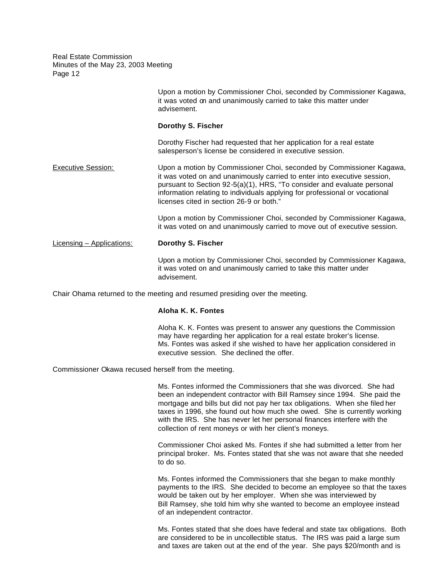|                           | Upon a motion by Commissioner Choi, seconded by Commissioner Kagawa,<br>it was voted on and unanimously carried to take this matter under<br>advisement.                                                                                                                                                                                               |
|---------------------------|--------------------------------------------------------------------------------------------------------------------------------------------------------------------------------------------------------------------------------------------------------------------------------------------------------------------------------------------------------|
|                           | Dorothy S. Fischer                                                                                                                                                                                                                                                                                                                                     |
|                           | Dorothy Fischer had requested that her application for a real estate<br>salesperson's license be considered in executive session.                                                                                                                                                                                                                      |
| <b>Executive Session:</b> | Upon a motion by Commissioner Choi, seconded by Commissioner Kagawa,<br>it was voted on and unanimously carried to enter into executive session,<br>pursuant to Section 92-5(a)(1), HRS, "To consider and evaluate personal<br>information relating to individuals applying for professional or vocational<br>licenses cited in section 26-9 or both." |
|                           | Upon a motion by Commissioner Choi, seconded by Commissioner Kagawa,<br>it was voted on and unanimously carried to move out of executive session.                                                                                                                                                                                                      |
| Licensing - Applications: | Dorothy S. Fischer                                                                                                                                                                                                                                                                                                                                     |
|                           | Upon a motion by Commissioner Choi, seconded by Commissioner Kagawa,<br>it was voted on and unanimously carried to take this matter under<br>advisement.                                                                                                                                                                                               |

Chair Ohama returned to the meeting and resumed presiding over the meeting.

#### **Aloha K. K. Fontes**

Aloha K. K. Fontes was present to answer any questions the Commission may have regarding her application for a real estate broker's license. Ms. Fontes was asked if she wished to have her application considered in executive session. She declined the offer.

Commissioner Okawa recused herself from the meeting.

Ms. Fontes informed the Commissioners that she was divorced. She had been an independent contractor with Bill Ramsey since 1994. She paid the mortgage and bills but did not pay her tax obligations. When she filed her taxes in 1996, she found out how much she owed. She is currently working with the IRS. She has never let her personal finances interfere with the collection of rent moneys or with her client's moneys.

Commissioner Choi asked Ms. Fontes if she had submitted a letter from her principal broker. Ms. Fontes stated that she was not aware that she needed to do so.

Ms. Fontes informed the Commissioners that she began to make monthly payments to the IRS. She decided to become an employee so that the taxes would be taken out by her employer. When she was interviewed by Bill Ramsey, she told him why she wanted to become an employee instead of an independent contractor.

Ms. Fontes stated that she does have federal and state tax obligations. Both are considered to be in uncollectible status. The IRS was paid a large sum and taxes are taken out at the end of the year. She pays \$20/month and is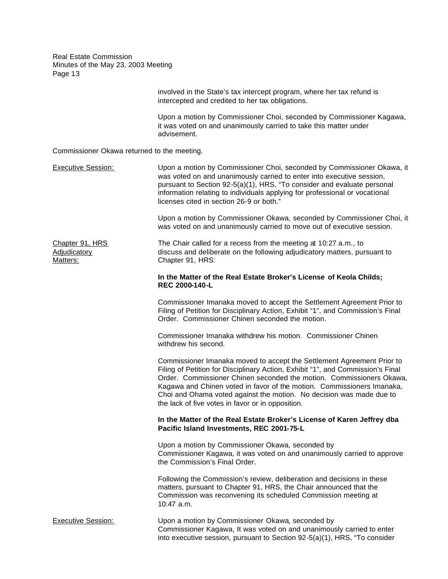> involved in the State's tax intercept program, where her tax refund is intercepted and credited to her tax obligations.

Upon a motion by Commissioner Choi, seconded by Commissioner Kagawa, it was voted on and unanimously carried to take this matter under advisement.

| Commissioner Okawa returned to the meeting.        |                                                                                                                                                                                                                                                                                                                                                                                                                                          |
|----------------------------------------------------|------------------------------------------------------------------------------------------------------------------------------------------------------------------------------------------------------------------------------------------------------------------------------------------------------------------------------------------------------------------------------------------------------------------------------------------|
| <b>Executive Session:</b>                          | Upon a motion by Commissioner Choi, seconded by Commissioner Okawa, it<br>was voted on and unanimously carried to enter into executive session,<br>pursuant to Section 92-5(a)(1), HRS, "To consider and evaluate personal<br>information relating to individuals applying for professional or vocational<br>licenses cited in section 26-9 or both."                                                                                    |
|                                                    | Upon a motion by Commissioner Okawa, seconded by Commissioner Choi, it<br>was voted on and unanimously carried to move out of executive session.                                                                                                                                                                                                                                                                                         |
| Chapter 91, HRS<br><b>Adjudicatory</b><br>Matters: | The Chair called for a recess from the meeting at 10:27 a.m., to<br>discuss and deliberate on the following adjudicatory matters, pursuant to<br>Chapter 91, HRS:                                                                                                                                                                                                                                                                        |
|                                                    | In the Matter of the Real Estate Broker's License of Keola Childs;<br>REC 2000-140-L                                                                                                                                                                                                                                                                                                                                                     |
|                                                    | Commissioner Imanaka moved to accept the Settlement Agreement Prior to<br>Filing of Petition for Disciplinary Action, Exhibit "1", and Commission's Final<br>Order. Commissioner Chinen seconded the motion.                                                                                                                                                                                                                             |
|                                                    | Commissioner Imanaka withdrew his motion. Commissioner Chinen<br>withdrew his second.                                                                                                                                                                                                                                                                                                                                                    |
|                                                    | Commissioner Imanaka moved to accept the Settlement Agreement Prior to<br>Filing of Petition for Disciplinary Action, Exhibit "1", and Commission's Final<br>Order. Commissioner Chinen seconded the motion. Commissioners Okawa,<br>Kagawa and Chinen voted in favor of the motion. Commissioners Imanaka,<br>Choi and Ohama voted against the motion. No decision was made due to<br>the lack of five votes in favor or in opposition. |
|                                                    | In the Matter of the Real Estate Broker's License of Karen Jeffrey dba<br>Pacific Island Investments, REC 2001-75-L                                                                                                                                                                                                                                                                                                                      |
|                                                    | Upon a motion by Commissioner Okawa, seconded by<br>Commissioner Kagawa, it was voted on and unanimously carried to approve<br>the Commission's Final Order.                                                                                                                                                                                                                                                                             |
|                                                    | Following the Commission's review, deliberation and decisions in these<br>matters, pursuant to Chapter 91, HRS, the Chair announced that the<br>Commission was reconvening its scheduled Commission meeting at<br>10:47 a.m.                                                                                                                                                                                                             |
| <b>Executive Session:</b>                          | Upon a motion by Commissioner Okawa, seconded by<br>Commissioner Kagawa, It was voted on and unanimously carried to enter<br>into executive session, pursuant to Section 92-5(a)(1), HRS, "To consider                                                                                                                                                                                                                                   |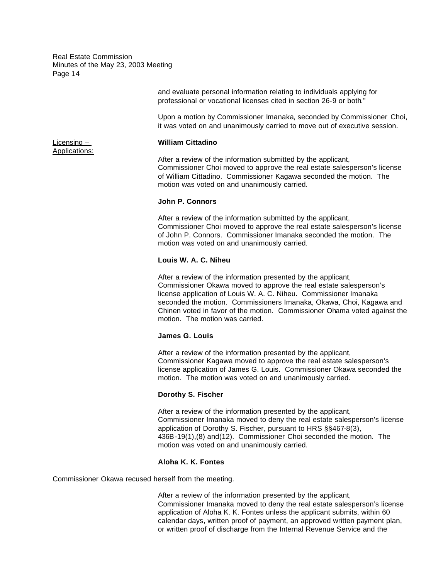> and evaluate personal information relating to individuals applying for professional or vocational licenses cited in section 26-9 or both."

Upon a motion by Commissioner Imanaka, seconded by Commissioner Choi, it was voted on and unanimously carried to move out of executive session.

#### Licensing – **William Cittadino**

After a review of the information submitted by the applicant, Commissioner Choi moved to approve the real estate salesperson's license of William Cittadino. Commissioner Kagawa seconded the motion. The motion was voted on and unanimously carried.

#### **John P. Connors**

After a review of the information submitted by the applicant, Commissioner Choi moved to approve the real estate salesperson's license of John P. Connors. Commissioner Imanaka seconded the motion. The motion was voted on and unanimously carried.

#### **Louis W. A. C. Niheu**

After a review of the information presented by the applicant, Commissioner Okawa moved to approve the real estate salesperson's license application of Louis W. A. C. Niheu. Commissioner Imanaka seconded the motion. Commissioners Imanaka, Okawa, Choi, Kagawa and Chinen voted in favor of the motion. Commissioner Ohama voted against the motion. The motion was carried.

#### **James G. Louis**

After a review of the information presented by the applicant, Commissioner Kagawa moved to approve the real estate salesperson's license application of James G. Louis. Commissioner Okawa seconded the motion. The motion was voted on and unanimously carried.

#### **Dorothy S. Fischer**

After a review of the information presented by the applicant, Commissioner Imanaka moved to deny the real estate salesperson's license application of Dorothy S. Fischer, pursuant to HRS §§467-8(3), 436B-19(1),(8) and(12). Commissioner Choi seconded the motion. The motion was voted on and unanimously carried.

#### **Aloha K. K. Fontes**

Commissioner Okawa recused herself from the meeting.

After a review of the information presented by the applicant, Commissioner Imanaka moved to deny the real estate salesperson's license application of Aloha K. K. Fontes unless the applicant submits, within 60 calendar days, written proof of payment, an approved written payment plan, or written proof of discharge from the Internal Revenue Service and the

Applications: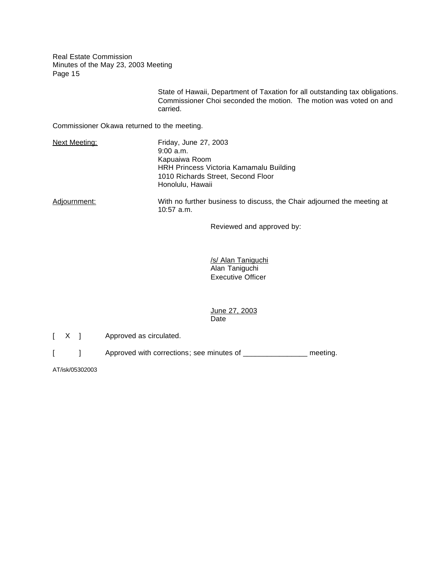> State of Hawaii, Department of Taxation for all outstanding tax obligations. Commissioner Choi seconded the motion. The motion was voted on and carried.

Commissioner Okawa returned to the meeting.

| Next Meeting: | Friday, June 27, 2003<br>$9:00$ a.m.<br>Kapuaiwa Room<br>HRH Princess Victoria Kamamalu Building<br>1010 Richards Street, Second Floor<br>Honolulu, Hawaii |
|---------------|------------------------------------------------------------------------------------------------------------------------------------------------------------|
| Adjournment:  | With no further business to discuss, the Chair adjourned the meeting at<br>$10:57$ a.m.                                                                    |

Reviewed and approved by:

/s/ Alan Taniguchi Alan Taniguchi Executive Officer

### June 27, 2003 Date

[ X ] Approved as circulated.

[ ] Approved with corrections; see minutes of \_\_\_\_\_\_\_\_\_\_\_\_\_\_\_\_ meeting.

AT/isk/05302003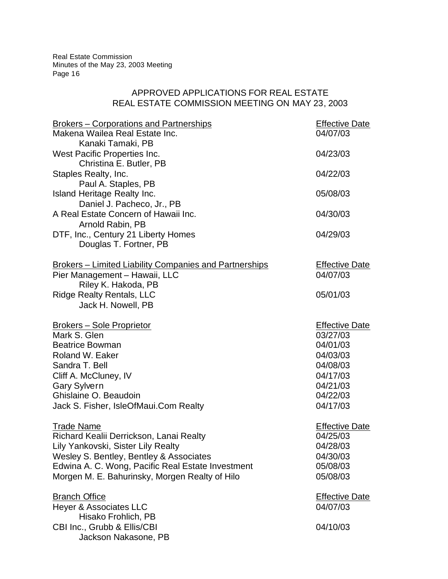# APPROVED APPLICATIONS FOR REAL ESTATE REAL ESTATE COMMISSION MEETING ON MAY 23, 2003

| Makena Wailea Real Estate Inc.<br>04/07/03<br>Kanaki Tamaki, PB<br>West Pacific Properties Inc.<br>04/23/03<br>Christina E. Butler, PB<br>04/22/03<br>Staples Realty, Inc.<br>Paul A. Staples, PB<br>Island Heritage Realty Inc.<br>05/08/03<br>Daniel J. Pacheco, Jr., PB<br>A Real Estate Concern of Hawaii Inc.<br>04/30/03<br>Arnold Rabin, PB<br>DTF, Inc., Century 21 Liberty Homes<br>04/29/03<br>Douglas T. Fortner, PB<br><b>Brokers – Limited Liability Companies and Partnerships</b><br><b>Effective Date</b><br>Pier Management - Hawaii, LLC<br>04/07/03<br>Riley K. Hakoda, PB<br>05/01/03<br><b>Ridge Realty Rentals, LLC</b><br>Jack H. Nowell, PB<br><b>Brokers – Sole Proprietor</b><br><b>Effective Date</b><br>Mark S. Glen<br>03/27/03<br>04/01/03<br><b>Beatrice Bowman</b><br>Roland W. Eaker<br>04/03/03<br>Sandra T. Bell<br>04/08/03<br>04/17/03<br>Cliff A. McCluney, IV<br>04/21/03<br><b>Gary Sylvern</b><br>Ghislaine O. Beaudoin<br>04/22/03<br>04/17/03<br>Jack S. Fisher, IsleOfMaui.Com Realty<br><b>Trade Name</b><br><b>Effective Date</b><br>Richard Kealii Derrickson, Lanai Realty<br>04/25/03<br>Lily Yankovski, Sister Lily Realty<br>04/28/03<br>Wesley S. Bentley, Bentley & Associates<br>04/30/03<br>Edwina A. C. Wong, Pacific Real Estate Investment<br>05/08/03<br>Morgen M. E. Bahurinsky, Morgen Realty of Hilo<br>05/08/03<br><b>Branch Office</b><br><b>Effective Date</b><br><b>Heyer &amp; Associates LLC</b><br>04/07/03<br>Hisako Frohlich, PB<br>CBI Inc., Grubb & Ellis/CBI<br>04/10/03<br>Jackson Nakasone, PB | Brokers – Corporations and Partnerships | <b>Effective Date</b> |
|----------------------------------------------------------------------------------------------------------------------------------------------------------------------------------------------------------------------------------------------------------------------------------------------------------------------------------------------------------------------------------------------------------------------------------------------------------------------------------------------------------------------------------------------------------------------------------------------------------------------------------------------------------------------------------------------------------------------------------------------------------------------------------------------------------------------------------------------------------------------------------------------------------------------------------------------------------------------------------------------------------------------------------------------------------------------------------------------------------------------------------------------------------------------------------------------------------------------------------------------------------------------------------------------------------------------------------------------------------------------------------------------------------------------------------------------------------------------------------------------------------------------------------------------------------------------------|-----------------------------------------|-----------------------|
|                                                                                                                                                                                                                                                                                                                                                                                                                                                                                                                                                                                                                                                                                                                                                                                                                                                                                                                                                                                                                                                                                                                                                                                                                                                                                                                                                                                                                                                                                                                                                                            |                                         |                       |
|                                                                                                                                                                                                                                                                                                                                                                                                                                                                                                                                                                                                                                                                                                                                                                                                                                                                                                                                                                                                                                                                                                                                                                                                                                                                                                                                                                                                                                                                                                                                                                            |                                         |                       |
|                                                                                                                                                                                                                                                                                                                                                                                                                                                                                                                                                                                                                                                                                                                                                                                                                                                                                                                                                                                                                                                                                                                                                                                                                                                                                                                                                                                                                                                                                                                                                                            |                                         |                       |
|                                                                                                                                                                                                                                                                                                                                                                                                                                                                                                                                                                                                                                                                                                                                                                                                                                                                                                                                                                                                                                                                                                                                                                                                                                                                                                                                                                                                                                                                                                                                                                            |                                         |                       |
|                                                                                                                                                                                                                                                                                                                                                                                                                                                                                                                                                                                                                                                                                                                                                                                                                                                                                                                                                                                                                                                                                                                                                                                                                                                                                                                                                                                                                                                                                                                                                                            |                                         |                       |
|                                                                                                                                                                                                                                                                                                                                                                                                                                                                                                                                                                                                                                                                                                                                                                                                                                                                                                                                                                                                                                                                                                                                                                                                                                                                                                                                                                                                                                                                                                                                                                            |                                         |                       |
|                                                                                                                                                                                                                                                                                                                                                                                                                                                                                                                                                                                                                                                                                                                                                                                                                                                                                                                                                                                                                                                                                                                                                                                                                                                                                                                                                                                                                                                                                                                                                                            |                                         |                       |
|                                                                                                                                                                                                                                                                                                                                                                                                                                                                                                                                                                                                                                                                                                                                                                                                                                                                                                                                                                                                                                                                                                                                                                                                                                                                                                                                                                                                                                                                                                                                                                            |                                         |                       |
|                                                                                                                                                                                                                                                                                                                                                                                                                                                                                                                                                                                                                                                                                                                                                                                                                                                                                                                                                                                                                                                                                                                                                                                                                                                                                                                                                                                                                                                                                                                                                                            |                                         |                       |
|                                                                                                                                                                                                                                                                                                                                                                                                                                                                                                                                                                                                                                                                                                                                                                                                                                                                                                                                                                                                                                                                                                                                                                                                                                                                                                                                                                                                                                                                                                                                                                            |                                         |                       |
|                                                                                                                                                                                                                                                                                                                                                                                                                                                                                                                                                                                                                                                                                                                                                                                                                                                                                                                                                                                                                                                                                                                                                                                                                                                                                                                                                                                                                                                                                                                                                                            |                                         |                       |
|                                                                                                                                                                                                                                                                                                                                                                                                                                                                                                                                                                                                                                                                                                                                                                                                                                                                                                                                                                                                                                                                                                                                                                                                                                                                                                                                                                                                                                                                                                                                                                            |                                         |                       |
|                                                                                                                                                                                                                                                                                                                                                                                                                                                                                                                                                                                                                                                                                                                                                                                                                                                                                                                                                                                                                                                                                                                                                                                                                                                                                                                                                                                                                                                                                                                                                                            |                                         |                       |
|                                                                                                                                                                                                                                                                                                                                                                                                                                                                                                                                                                                                                                                                                                                                                                                                                                                                                                                                                                                                                                                                                                                                                                                                                                                                                                                                                                                                                                                                                                                                                                            |                                         |                       |
|                                                                                                                                                                                                                                                                                                                                                                                                                                                                                                                                                                                                                                                                                                                                                                                                                                                                                                                                                                                                                                                                                                                                                                                                                                                                                                                                                                                                                                                                                                                                                                            |                                         |                       |
|                                                                                                                                                                                                                                                                                                                                                                                                                                                                                                                                                                                                                                                                                                                                                                                                                                                                                                                                                                                                                                                                                                                                                                                                                                                                                                                                                                                                                                                                                                                                                                            |                                         |                       |
|                                                                                                                                                                                                                                                                                                                                                                                                                                                                                                                                                                                                                                                                                                                                                                                                                                                                                                                                                                                                                                                                                                                                                                                                                                                                                                                                                                                                                                                                                                                                                                            |                                         |                       |
|                                                                                                                                                                                                                                                                                                                                                                                                                                                                                                                                                                                                                                                                                                                                                                                                                                                                                                                                                                                                                                                                                                                                                                                                                                                                                                                                                                                                                                                                                                                                                                            |                                         |                       |
|                                                                                                                                                                                                                                                                                                                                                                                                                                                                                                                                                                                                                                                                                                                                                                                                                                                                                                                                                                                                                                                                                                                                                                                                                                                                                                                                                                                                                                                                                                                                                                            |                                         |                       |
|                                                                                                                                                                                                                                                                                                                                                                                                                                                                                                                                                                                                                                                                                                                                                                                                                                                                                                                                                                                                                                                                                                                                                                                                                                                                                                                                                                                                                                                                                                                                                                            |                                         |                       |
|                                                                                                                                                                                                                                                                                                                                                                                                                                                                                                                                                                                                                                                                                                                                                                                                                                                                                                                                                                                                                                                                                                                                                                                                                                                                                                                                                                                                                                                                                                                                                                            |                                         |                       |
|                                                                                                                                                                                                                                                                                                                                                                                                                                                                                                                                                                                                                                                                                                                                                                                                                                                                                                                                                                                                                                                                                                                                                                                                                                                                                                                                                                                                                                                                                                                                                                            |                                         |                       |
|                                                                                                                                                                                                                                                                                                                                                                                                                                                                                                                                                                                                                                                                                                                                                                                                                                                                                                                                                                                                                                                                                                                                                                                                                                                                                                                                                                                                                                                                                                                                                                            |                                         |                       |
|                                                                                                                                                                                                                                                                                                                                                                                                                                                                                                                                                                                                                                                                                                                                                                                                                                                                                                                                                                                                                                                                                                                                                                                                                                                                                                                                                                                                                                                                                                                                                                            |                                         |                       |
|                                                                                                                                                                                                                                                                                                                                                                                                                                                                                                                                                                                                                                                                                                                                                                                                                                                                                                                                                                                                                                                                                                                                                                                                                                                                                                                                                                                                                                                                                                                                                                            |                                         |                       |
|                                                                                                                                                                                                                                                                                                                                                                                                                                                                                                                                                                                                                                                                                                                                                                                                                                                                                                                                                                                                                                                                                                                                                                                                                                                                                                                                                                                                                                                                                                                                                                            |                                         |                       |
|                                                                                                                                                                                                                                                                                                                                                                                                                                                                                                                                                                                                                                                                                                                                                                                                                                                                                                                                                                                                                                                                                                                                                                                                                                                                                                                                                                                                                                                                                                                                                                            |                                         |                       |
|                                                                                                                                                                                                                                                                                                                                                                                                                                                                                                                                                                                                                                                                                                                                                                                                                                                                                                                                                                                                                                                                                                                                                                                                                                                                                                                                                                                                                                                                                                                                                                            |                                         |                       |
|                                                                                                                                                                                                                                                                                                                                                                                                                                                                                                                                                                                                                                                                                                                                                                                                                                                                                                                                                                                                                                                                                                                                                                                                                                                                                                                                                                                                                                                                                                                                                                            |                                         |                       |
|                                                                                                                                                                                                                                                                                                                                                                                                                                                                                                                                                                                                                                                                                                                                                                                                                                                                                                                                                                                                                                                                                                                                                                                                                                                                                                                                                                                                                                                                                                                                                                            |                                         |                       |
|                                                                                                                                                                                                                                                                                                                                                                                                                                                                                                                                                                                                                                                                                                                                                                                                                                                                                                                                                                                                                                                                                                                                                                                                                                                                                                                                                                                                                                                                                                                                                                            |                                         |                       |
|                                                                                                                                                                                                                                                                                                                                                                                                                                                                                                                                                                                                                                                                                                                                                                                                                                                                                                                                                                                                                                                                                                                                                                                                                                                                                                                                                                                                                                                                                                                                                                            |                                         |                       |
|                                                                                                                                                                                                                                                                                                                                                                                                                                                                                                                                                                                                                                                                                                                                                                                                                                                                                                                                                                                                                                                                                                                                                                                                                                                                                                                                                                                                                                                                                                                                                                            |                                         |                       |
|                                                                                                                                                                                                                                                                                                                                                                                                                                                                                                                                                                                                                                                                                                                                                                                                                                                                                                                                                                                                                                                                                                                                                                                                                                                                                                                                                                                                                                                                                                                                                                            |                                         |                       |
|                                                                                                                                                                                                                                                                                                                                                                                                                                                                                                                                                                                                                                                                                                                                                                                                                                                                                                                                                                                                                                                                                                                                                                                                                                                                                                                                                                                                                                                                                                                                                                            |                                         |                       |
|                                                                                                                                                                                                                                                                                                                                                                                                                                                                                                                                                                                                                                                                                                                                                                                                                                                                                                                                                                                                                                                                                                                                                                                                                                                                                                                                                                                                                                                                                                                                                                            |                                         |                       |
|                                                                                                                                                                                                                                                                                                                                                                                                                                                                                                                                                                                                                                                                                                                                                                                                                                                                                                                                                                                                                                                                                                                                                                                                                                                                                                                                                                                                                                                                                                                                                                            |                                         |                       |
|                                                                                                                                                                                                                                                                                                                                                                                                                                                                                                                                                                                                                                                                                                                                                                                                                                                                                                                                                                                                                                                                                                                                                                                                                                                                                                                                                                                                                                                                                                                                                                            |                                         |                       |
|                                                                                                                                                                                                                                                                                                                                                                                                                                                                                                                                                                                                                                                                                                                                                                                                                                                                                                                                                                                                                                                                                                                                                                                                                                                                                                                                                                                                                                                                                                                                                                            |                                         |                       |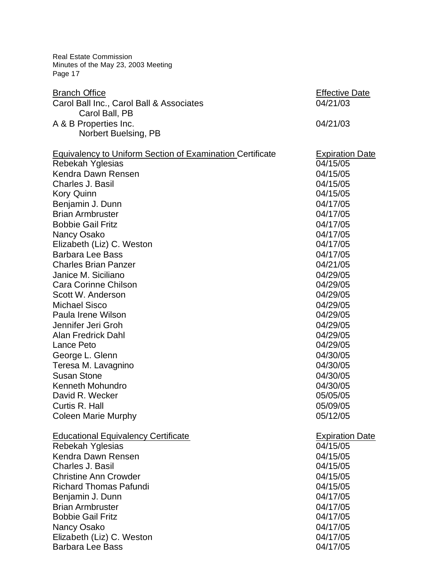| Minutes of the May 23, 2003 Meeting<br>Page 17            |                        |
|-----------------------------------------------------------|------------------------|
| <b>Branch Office</b>                                      | <b>Effective Date</b>  |
| Carol Ball Inc., Carol Ball & Associates                  | 04/21/03               |
| Carol Ball, PB                                            |                        |
| A & B Properties Inc.                                     | 04/21/03               |
| Norbert Buelsing, PB                                      |                        |
| Equivalency to Uniform Section of Examination Certificate | <b>Expiration Date</b> |
| <b>Rebekah Yglesias</b>                                   | 04/15/05               |
| Kendra Dawn Rensen                                        | 04/15/05               |
| Charles J. Basil                                          | 04/15/05               |
| <b>Kory Quinn</b>                                         | 04/15/05               |
| Benjamin J. Dunn                                          | 04/17/05               |
| <b>Brian Armbruster</b>                                   | 04/17/05               |
| <b>Bobbie Gail Fritz</b>                                  | 04/17/05               |
| Nancy Osako                                               | 04/17/05               |
| Elizabeth (Liz) C. Weston                                 | 04/17/05               |
| <b>Barbara Lee Bass</b>                                   | 04/17/05               |
| <b>Charles Brian Panzer</b>                               | 04/21/05               |
| Janice M. Siciliano                                       | 04/29/05               |
| Cara Corinne Chilson                                      | 04/29/05               |
| Scott W. Anderson                                         | 04/29/05               |
| <b>Michael Sisco</b>                                      | 04/29/05               |
| Paula Irene Wilson                                        | 04/29/05               |
| Jennifer Jeri Groh                                        | 04/29/05               |
| <b>Alan Fredrick Dahl</b>                                 | 04/29/05               |
| Lance Peto                                                | 04/29/05               |
| George L. Glenn                                           | 04/30/05               |
| Teresa M. Lavagnino                                       | 04/30/05               |
| <b>Susan Stone</b>                                        | 04/30/05               |
| <b>Kenneth Mohundro</b>                                   | 04/30/05               |
| David R. Wecker                                           | 05/05/05               |
| Curtis R. Hall                                            | 05/09/05               |
| <b>Coleen Marie Murphy</b>                                | 05/12/05               |
| <b>Educational Equivalency Certificate</b>                | <b>Expiration Date</b> |
| Rebekah Yglesias                                          | 04/15/05               |
| Kendra Dawn Rensen                                        | 04/15/05               |
| Charles J. Basil                                          | 04/15/05               |
| <b>Christine Ann Crowder</b>                              | 04/15/05               |
| <b>Richard Thomas Pafundi</b>                             | 04/15/05               |
| Benjamin J. Dunn                                          | 04/17/05               |
| <b>Brian Armbruster</b>                                   | 04/17/05               |
| <b>Bobbie Gail Fritz</b>                                  | 04/17/05               |
| Nancy Osako                                               | 04/17/05               |
| Elizabeth (Liz) C. Weston                                 | 04/17/05               |
| <b>Barbara Lee Bass</b>                                   | 04/17/05               |

Real Estate Commission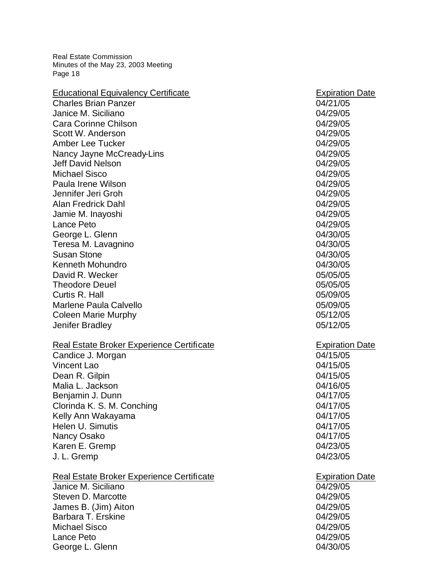| <b>Educational Equivalency Certificate</b>                       | <b>Expiration Date</b>             |
|------------------------------------------------------------------|------------------------------------|
| <b>Charles Brian Panzer</b>                                      | 04/21/05                           |
| Janice M. Siciliano                                              | 04/29/05                           |
| Cara Corinne Chilson                                             | 04/29/05                           |
| Scott W. Anderson                                                | 04/29/05                           |
| <b>Amber Lee Tucker</b>                                          | 04/29/05                           |
| Nancy Jayne McCready-Lins                                        | 04/29/05                           |
| <b>Jeff David Nelson</b>                                         | 04/29/05                           |
| <b>Michael Sisco</b>                                             | 04/29/05                           |
| Paula Irene Wilson                                               | 04/29/05                           |
| Jennifer Jeri Groh                                               | 04/29/05                           |
| <b>Alan Fredrick Dahl</b>                                        | 04/29/05                           |
| Jamie M. Inayoshi                                                | 04/29/05                           |
| Lance Peto                                                       | 04/29/05                           |
| George L. Glenn                                                  | 04/30/05                           |
| Teresa M. Lavagnino                                              | 04/30/05                           |
| <b>Susan Stone</b>                                               | 04/30/05                           |
| <b>Kenneth Mohundro</b>                                          | 04/30/05                           |
| David R. Wecker                                                  | 05/05/05                           |
| <b>Theodore Deuel</b>                                            | 05/05/05                           |
| Curtis R. Hall                                                   | 05/09/05                           |
| <b>Marlene Paula Calvello</b>                                    | 05/09/05                           |
| <b>Coleen Marie Murphy</b>                                       | 05/12/05                           |
|                                                                  |                                    |
| <b>Jenifer Bradley</b>                                           | 05/12/05                           |
|                                                                  |                                    |
| Real Estate Broker Experience Certificate                        | <b>Expiration Date</b>             |
| Candice J. Morgan                                                | 04/15/05                           |
| <b>Vincent Lao</b>                                               | 04/15/05                           |
| Dean R. Gilpin                                                   | 04/15/05                           |
| Malia L. Jackson                                                 | 04/16/05                           |
| Benjamin J. Dunn                                                 | 04/17/05                           |
| Clorinda K. S. M. Conching                                       | 04/17/05                           |
| Kelly Ann Wakayama                                               | 04/17/05                           |
| Helen U. Simutis                                                 | 04/17/05                           |
| Nancy Osako                                                      | 04/17/05                           |
| Karen E. Gremp                                                   | 04/23/05                           |
| J. L. Gremp                                                      | 04/23/05                           |
|                                                                  |                                    |
| Real Estate Broker Experience Certificate<br>Janice M. Siciliano | <b>Expiration Date</b><br>04/29/05 |
| Steven D. Marcotte                                               | 04/29/05                           |
| James B. (Jim) Aiton                                             | 04/29/05                           |
| Barbara T. Erskine                                               | 04/29/05                           |
| <b>Michael Sisco</b>                                             | 04/29/05                           |
| Lance Peto                                                       | 04/29/05                           |